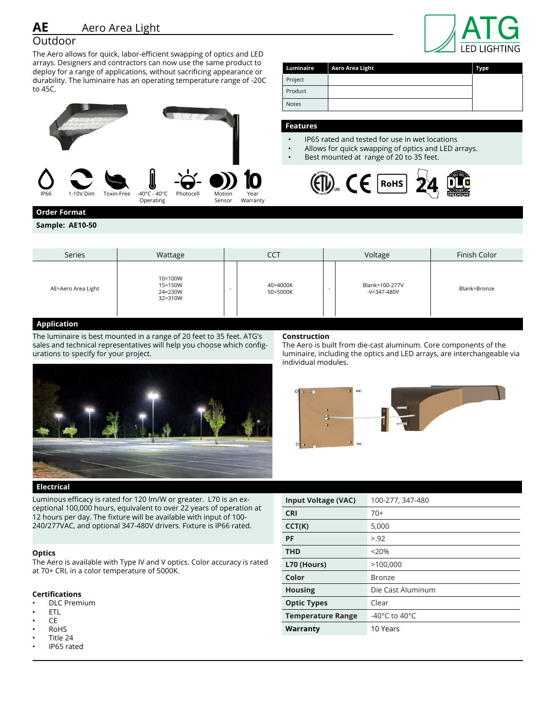# Outdoor

The Aero allows for quick, labor-efficient swapping of optics and LED arrays. Designers and contractors can now use the same product to deploy for a range of applications, without sacrificing appearance or durability. The luminaire has an operating temperature range of -20C to 45C.



|              |                        | l LED LIGHTING |
|--------------|------------------------|----------------|
| Luminaire    | <b>Aero Area Light</b> | <b>Type</b>    |
| Project      |                        |                |
| Product      |                        |                |
| <b>Notes</b> |                        |                |

### **Features**

Pro Pro Not

- IP65 rated and tested for use in wet locations<br>• Allows for quick swapping of optics and LED a
- Allows for quick swapping of optics and LED arrays.
- Best mounted at range of 20 to 35 feet.



# **Order Format**

**Sample: AE10-50**

| Series             | Wattage                                  | CCT                            | Voltage                                                   | Finish Color |
|--------------------|------------------------------------------|--------------------------------|-----------------------------------------------------------|--------------|
| AE=Aero Area Light | 10=100W<br>15=150W<br>24=230W<br>32=310W | 40=4000K<br>$\sim$<br>50=5000K | Blank=100-277V<br>$\overline{\phantom{a}}$<br>-V=347-480V | Blank=Bronze |

# **Application**

The luminaire is best mounted in a range of 20 feet to 35 feet. ATG's sales and technical representatives will help you choose which configurations to specify for your project.

### **Construction**

The Aero is built from die-cast aluminum. Core components of the luminaire, including the optics and LED arrays, are interchangeable via individual modules.



**Electrical**

Luminous efficacy is rated for 120 lm/W or greater. L70 is an exceptional 100,000 hours, equivalent to over 22 years of operation at 12 hours per day. The fixture will be available with input of 100- 240/277VAC, and optional 347-480V drivers. Fixture is IP66 rated.

#### **Optics**

The Aero is available with Type IV and V optics. Color accuracy is rated at 70+ CRI, in a color temperature of 5000K.

## **Certifications**

- DLC Premium
- ETL
- CE
- RoHS
- Title 24
- IP65 rated

| <b>Input Voltage (VAC)</b> | 100-277, 347-480                    |
|----------------------------|-------------------------------------|
| <b>CRI</b>                 | $70+$                               |
| CCT(K)                     | 5,000                               |
| <b>PF</b>                  | > 92                                |
| <b>THD</b>                 | < 20%                               |
| L70 (Hours)                | >100,000                            |
| Color                      | Bronze                              |
| <b>Housing</b>             | Die Cast Aluminum                   |
| <b>Optic Types</b>         | Clear                               |
| <b>Temperature Range</b>   | -40 $^{\circ}$ C to 40 $^{\circ}$ C |
| Warranty                   | 10 Years                            |

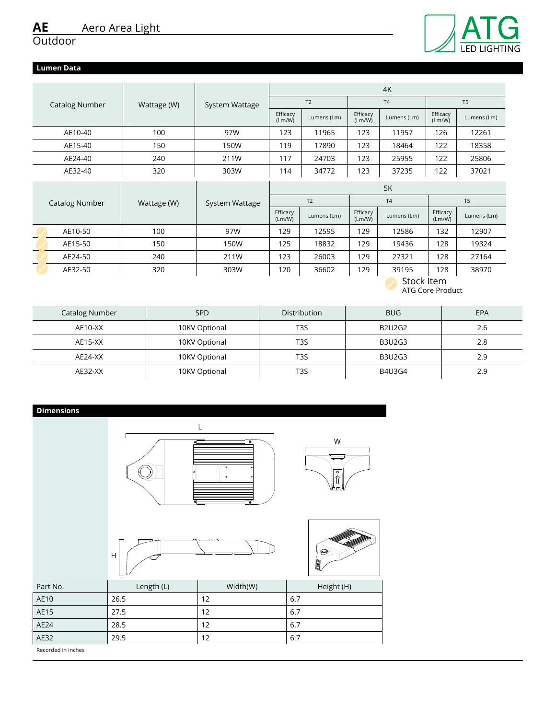# Outdoor

# **Lumen Data**

|                       |             |                |                    |                |                    | 4K          |                    |                |
|-----------------------|-------------|----------------|--------------------|----------------|--------------------|-------------|--------------------|----------------|
| <b>Catalog Number</b> | Wattage (W) | System Wattage |                    | T <sub>2</sub> |                    | T4          |                    | T <sub>5</sub> |
|                       |             |                | Efficacy<br>(Lm/W) | Lumens (Lm)    | Efficacy<br>(Lm/W) | Lumens (Lm) | Efficacy<br>(Lm/W) | Lumens (Lm)    |
| AE10-40               | 100         | 97W            | 123                | 11965          | 123                | 11957       | 126                | 12261          |
| AE15-40               | 150         | 150W           | 119                | 17890          | 123                | 18464       | 122                | 18358          |
| AE24-40               | 240         | 211W           | 117                | 24703          | 123                | 25955       | 122                | 25806          |
| AE32-40               | 320         | 303W           | 114                | 34772          | 123                | 37235       | 122                | 37021          |
|                       |             |                |                    |                |                    |             |                    |                |
|                       |             |                |                    |                |                    | 5K          |                    |                |
| Catalog Number        | Wattage (W) | System Wattage |                    | T <sub>2</sub> |                    | T4          |                    | T <sub>5</sub> |
|                       |             |                | Efficacy<br>(Lm/W) | Lumens (Lm)    | Efficacy<br>(Lm/W) | Lumens (Lm) | Efficacy<br>(Lm/W) | Lumens (Lm)    |
| AE10-50               | 100         | 97W            | 129                | 12595          | 129                | 12586       | 132                | 12907          |
| AE15-50               | 150         | 150W           | 125                | 18832          | 129                | 19436       | 128                | 19324          |
| AE24-50               | 240         | 211W           | 123                | 26003          | 129                | 27321       | 128                | 27164          |
| AE32-50               | 320         | 303W           | 120                | 36602          | 129                | 39195       | 128                | 38970          |

ATG Core Product

| Catalog Number | SP <sub>D</sub> | <b>Distribution</b> | <b>BUG</b>    | EPA |
|----------------|-----------------|---------------------|---------------|-----|
| AE10-XX        | 10KV Optional   | T <sub>3</sub> S    | <b>B2U2G2</b> | 2.6 |
| AE15-XX        | 10KV Optional   | T <sub>3</sub> S    | <b>B3U2G3</b> | 2.8 |
| AE24-XX        | 10KV Optional   | T3S                 | <b>B3U2G3</b> | 2.9 |
| AE32-XX        | 10KV Optional   | T3S                 | B4U3G4        | 2.9 |

| <b>Dimensions</b> |              |                                                                          |                                                      |
|-------------------|--------------|--------------------------------------------------------------------------|------------------------------------------------------|
|                   |              | L<br>$\overline{\bullet}$<br>$\circ$<br>$_{\odot}$<br>$\overline{\cdot}$ | W<br>$\overline{\overset{\circ}{\mathbb{0}}}$<br>h m |
|                   | $\mathsf{H}$ |                                                                          | $\circledast$<br>J                                   |
| Part No.          | Length (L)   | Width(W)                                                                 | Height (H)                                           |
| AE10              | 26.5         | 12                                                                       | $6.7\,$                                              |
| AE15              | 27.5         | 12                                                                       | 6.7                                                  |
| AE24              | 28.5         | 12                                                                       | 6.7                                                  |
| AE32              | 29.5         | 12                                                                       | 6.7                                                  |

Recorded in inches



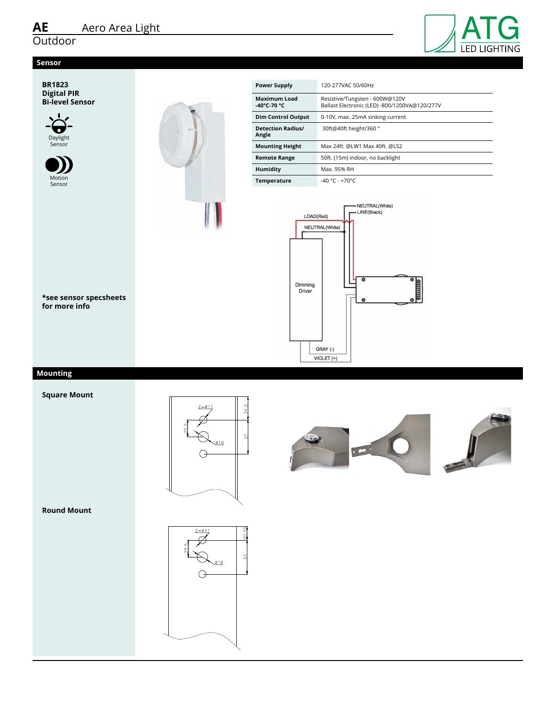# <u>AE</u><br>Outdoor  $\frac{1}{2}$

# **Sensor**



**BR1823 Digital PIR Bi-level Sensor Description** 





| <b>Power Supply</b><br>120-277VAC 50/60Hz<br><b>Maximum Load</b><br>Resistive/Tungsten - 600W@120V<br>-40°C-70 °C<br>Ballast Electronic (LED) -800/1200VA@120/277V<br><b>Dim Control Output</b><br>0-10V, max. 25mA sinking current<br><b>Detection Radius/</b><br>30ft@40ft height/360°<br>Angle<br><b>Mounting Height</b><br>Max 24ft. @LW1 Max 40ft. @LS2<br><b>Remote Range</b><br>50ft. (15m) indoor, no backlight<br><b>Humidity</b><br>Max. 95% RH<br>Temperature<br>-40 °C - +70°C<br>NEUTRAL(White)<br>LINE(Black)<br>LOAD(Red)<br>NEUTRAL(White)<br>Dimming<br>Driver<br>鱼<br>GRAY (-)<br>VIOLET (+) | ATG |
|----------------------------------------------------------------------------------------------------------------------------------------------------------------------------------------------------------------------------------------------------------------------------------------------------------------------------------------------------------------------------------------------------------------------------------------------------------------------------------------------------------------------------------------------------------------------------------------------------------------|-----|
|                                                                                                                                                                                                                                                                                                                                                                                                                                                                                                                                                                                                                |     |
|                                                                                                                                                                                                                                                                                                                                                                                                                                                                                                                                                                                                                |     |
|                                                                                                                                                                                                                                                                                                                                                                                                                                                                                                                                                                                                                |     |
|                                                                                                                                                                                                                                                                                                                                                                                                                                                                                                                                                                                                                |     |
|                                                                                                                                                                                                                                                                                                                                                                                                                                                                                                                                                                                                                |     |
|                                                                                                                                                                                                                                                                                                                                                                                                                                                                                                                                                                                                                |     |
|                                                                                                                                                                                                                                                                                                                                                                                                                                                                                                                                                                                                                |     |
|                                                                                                                                                                                                                                                                                                                                                                                                                                                                                                                                                                                                                |     |



**\*see sensor specsheets for more info** or :<br>inf<sub>(</sub><br>oul einitial setup<br>International<br>Transfer ee<br>r n<br>ua ks<br>fc<br>500

# parameter, is also used to initiate automatic **Mounting**

**Square Mount**



**Hold off setpoint with automatic calibration option for convenience** 

**and added energy savings** 





**Round Mount**

Square mount Round mount